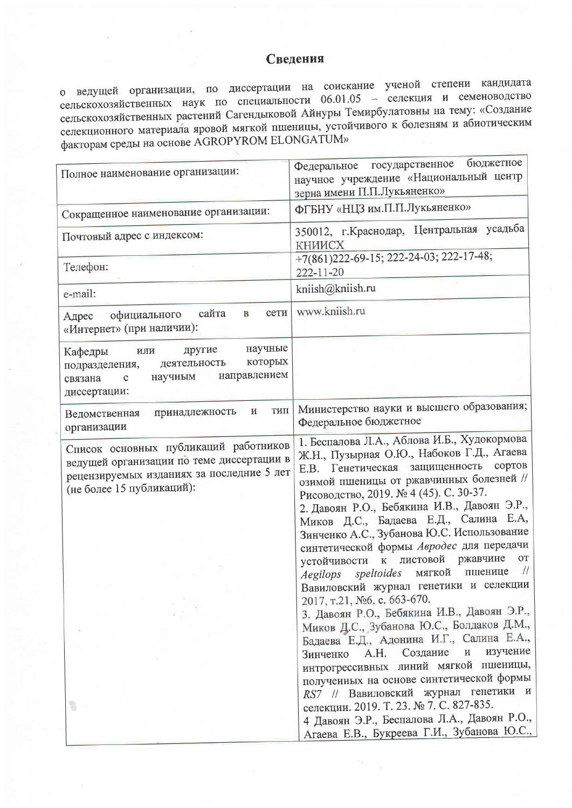## Сведения

о ведущей организации, по диссертации на соискание ученой степени кандидата<br>сельскохозяйственных наук по специальности 06.01.05 - селекция и семеноводство сельскохозяйственных растений Сагендыковой Айнуры Темирбулатовны на тему: «Создание селекционного материала яровой мягкой пшеницы, устойчивого к болезням и абиотическим факторам среды на основе AGROPYROM ELONGATUM»

| Полное наименование организации:                                                                                                                             | бюджетное<br>Федеральное государственное<br>научное учреждение «Национальный центр<br>зерна имени П.П.Лукьяненко»                                                                                                                                                                                                                                                                                                                                                                                                                                                                                                                                                                                                                                                                                                                                                                                                                                                                                                                                                         |
|--------------------------------------------------------------------------------------------------------------------------------------------------------------|---------------------------------------------------------------------------------------------------------------------------------------------------------------------------------------------------------------------------------------------------------------------------------------------------------------------------------------------------------------------------------------------------------------------------------------------------------------------------------------------------------------------------------------------------------------------------------------------------------------------------------------------------------------------------------------------------------------------------------------------------------------------------------------------------------------------------------------------------------------------------------------------------------------------------------------------------------------------------------------------------------------------------------------------------------------------------|
| Сокращенное наименование организации:                                                                                                                        | ФГБНУ «НЦЗ им.П.П.Лукьяненко»                                                                                                                                                                                                                                                                                                                                                                                                                                                                                                                                                                                                                                                                                                                                                                                                                                                                                                                                                                                                                                             |
| Почтовый адрес с индексом:                                                                                                                                   | 350012, г. Краснодар, Центральная усадьба<br>КНИИСХ                                                                                                                                                                                                                                                                                                                                                                                                                                                                                                                                                                                                                                                                                                                                                                                                                                                                                                                                                                                                                       |
| Телефон:                                                                                                                                                     | +7(861)222-69-15; 222-24-03; 222-17-48;<br>222-11-20                                                                                                                                                                                                                                                                                                                                                                                                                                                                                                                                                                                                                                                                                                                                                                                                                                                                                                                                                                                                                      |
| e-mail:                                                                                                                                                      | kniish@kniish.ru                                                                                                                                                                                                                                                                                                                                                                                                                                                                                                                                                                                                                                                                                                                                                                                                                                                                                                                                                                                                                                                          |
| сети<br>сайта<br>$\mathbf{B}$<br>официального<br>Адрес<br>«Интернет» (при наличии):                                                                          | www.kniish.ru                                                                                                                                                                                                                                                                                                                                                                                                                                                                                                                                                                                                                                                                                                                                                                                                                                                                                                                                                                                                                                                             |
| научные<br>другие<br>Кафедры<br>или<br>которых<br>деятельность<br>подразделения,<br>направлением<br>научным<br>связана<br>$\mathbf c$<br>диссертации:        |                                                                                                                                                                                                                                                                                                                                                                                                                                                                                                                                                                                                                                                                                                                                                                                                                                                                                                                                                                                                                                                                           |
| тип<br>и<br>принадлежность<br>Ведомственная<br>организации                                                                                                   | Министерство науки и высшего образования;<br>Федеральное бюджетное                                                                                                                                                                                                                                                                                                                                                                                                                                                                                                                                                                                                                                                                                                                                                                                                                                                                                                                                                                                                        |
| Список основных публикаций работников<br>ведущей организации по теме диссертации в<br>рецензируемых изданиях за последние 5 лет<br>(не более 15 публикаций): | 1. Беспалова Л.А., Аблова И.Б., Худокормова<br>Ж.Н., Пузырная О.Ю., Набоков Г.Д., Агаева<br>Е.В. Генетическая защищенность сортов<br>озимой пшеницы от ржавчинных болезней //<br>Рисоводство, 2019. № 4 (45). С. 30-37.<br>2. Давоян Р.О., Бебякина И.В., Давоян Э.Р.,<br>Миков Д.С., Бадаева Е.Д., Салина Е.А,<br>Зинченко А.С., Зубанова Ю.С. Использование<br>синтетической формы Авродес для передачи<br>устойчивости к листовой ржавчине<br><b>OT</b><br>$\frac{1}{2}$<br>speltoides мягкой<br>пшенице<br>Aegilops<br>Вавиловский журнал генетики и селекции<br>2017, т.21, №6, с. 663-670.<br>3. Давоян Р.О., Бебякина И.В., Давоян Э.Р.,<br>Миков Д.С., Зубанова Ю.С., Болдаков Д.М.,<br>Бадаева Е.Д., Адонина И.Г., Салина Е.А.,<br>изучение<br>Создание<br>$\, {\rm H}$<br>A.H.<br>Зинченко<br>интрогрессивных линий мягкой пшеницы,<br>полученных на основе синтетической формы<br>RS7 // Вавиловский журнал генетики и<br>селекции. 2019. Т. 23. № 7. С. 827-835.<br>4 Давоян Э.Р., Беспалова Л.А., Давоян Р.О.,<br>Агаева Е.В., Букреева Г.И., Зубанова Ю.С., |